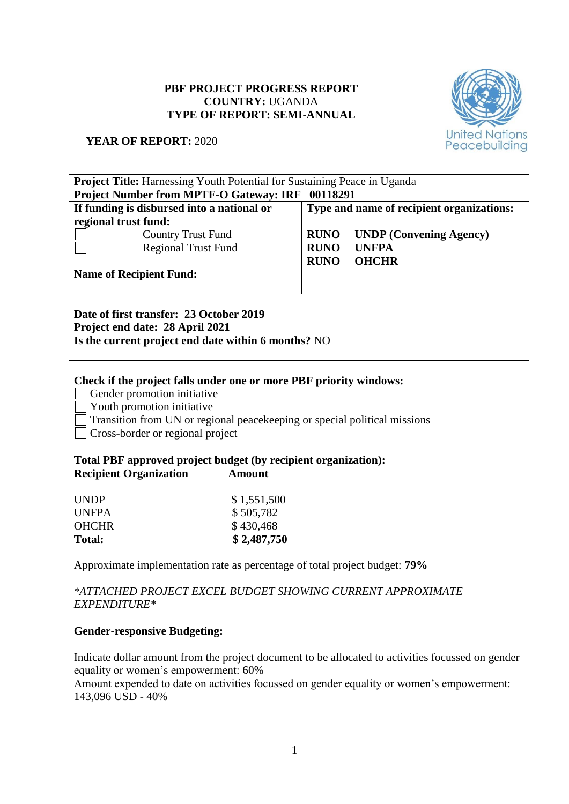# **PBF PROJECT PROGRESS REPORT COUNTRY:** UGANDA **TYPE OF REPORT: SEMI-ANNUAL**



# **YEAR OF REPORT:** 2020

| Project Title: Harnessing Youth Potential for Sustaining Peace in Uganda                                                                                                                                                                                    |                                                                                                                                   |                                           |                                |  |  |  |  |  |
|-------------------------------------------------------------------------------------------------------------------------------------------------------------------------------------------------------------------------------------------------------------|-----------------------------------------------------------------------------------------------------------------------------------|-------------------------------------------|--------------------------------|--|--|--|--|--|
|                                                                                                                                                                                                                                                             | Project Number from MPTF-O Gateway: IRF 00118291                                                                                  |                                           |                                |  |  |  |  |  |
| If funding is disbursed into a national or                                                                                                                                                                                                                  |                                                                                                                                   | Type and name of recipient organizations: |                                |  |  |  |  |  |
| regional trust fund:                                                                                                                                                                                                                                        |                                                                                                                                   |                                           |                                |  |  |  |  |  |
|                                                                                                                                                                                                                                                             | <b>Country Trust Fund</b>                                                                                                         | <b>RUNO</b>                               | <b>UNDP</b> (Convening Agency) |  |  |  |  |  |
|                                                                                                                                                                                                                                                             | <b>Regional Trust Fund</b>                                                                                                        | <b>RUNO</b><br><b>UNFPA</b>               |                                |  |  |  |  |  |
|                                                                                                                                                                                                                                                             |                                                                                                                                   | <b>RUNO</b>                               | <b>OHCHR</b>                   |  |  |  |  |  |
| <b>Name of Recipient Fund:</b>                                                                                                                                                                                                                              |                                                                                                                                   |                                           |                                |  |  |  |  |  |
|                                                                                                                                                                                                                                                             | Date of first transfer: 23 October 2019<br>Project end date: 28 April 2021<br>Is the current project end date within 6 months? NO |                                           |                                |  |  |  |  |  |
| Check if the project falls under one or more PBF priority windows:<br>Gender promotion initiative<br>Youth promotion initiative<br>Transition from UN or regional peacekeeping or special political missions<br>Cross-border or regional project            |                                                                                                                                   |                                           |                                |  |  |  |  |  |
| <b>Recipient Organization</b>                                                                                                                                                                                                                               | Total PBF approved project budget (by recipient organization):<br><b>Amount</b>                                                   |                                           |                                |  |  |  |  |  |
| <b>UNDP</b>                                                                                                                                                                                                                                                 | \$1,551,500                                                                                                                       |                                           |                                |  |  |  |  |  |
| <b>UNFPA</b>                                                                                                                                                                                                                                                | \$505,782                                                                                                                         |                                           |                                |  |  |  |  |  |
| <b>OHCHR</b>                                                                                                                                                                                                                                                | \$430,468                                                                                                                         |                                           |                                |  |  |  |  |  |
| <b>Total:</b>                                                                                                                                                                                                                                               | \$2,487,750                                                                                                                       |                                           |                                |  |  |  |  |  |
|                                                                                                                                                                                                                                                             | Approximate implementation rate as percentage of total project budget: 79%                                                        |                                           |                                |  |  |  |  |  |
| *ATTACHED PROJECT EXCEL BUDGET SHOWING CURRENT APPROXIMATE<br>EXPENDITURE*                                                                                                                                                                                  |                                                                                                                                   |                                           |                                |  |  |  |  |  |
| <b>Gender-responsive Budgeting:</b>                                                                                                                                                                                                                         |                                                                                                                                   |                                           |                                |  |  |  |  |  |
| Indicate dollar amount from the project document to be allocated to activities focussed on gender<br>equality or women's empowerment: 60%<br>Amount expended to date on activities focussed on gender equality or women's empowerment:<br>143,096 USD - 40% |                                                                                                                                   |                                           |                                |  |  |  |  |  |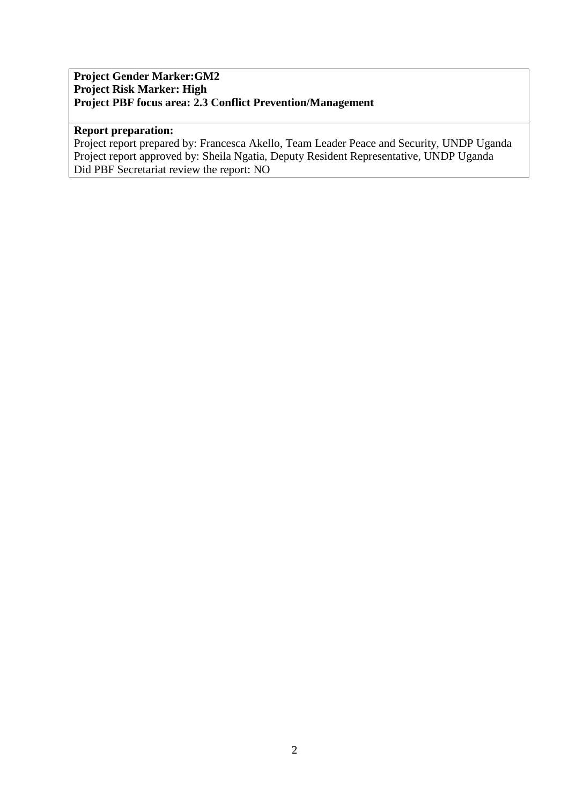## **Project Gender Marker:GM2 Project Risk Marker: High Project PBF focus area: 2.3 Conflict Prevention/Management**

#### **Report preparation:**

Project report prepared by: Francesca Akello, Team Leader Peace and Security, UNDP Uganda Project report approved by: Sheila Ngatia, Deputy Resident Representative, UNDP Uganda Did PBF Secretariat review the report: NO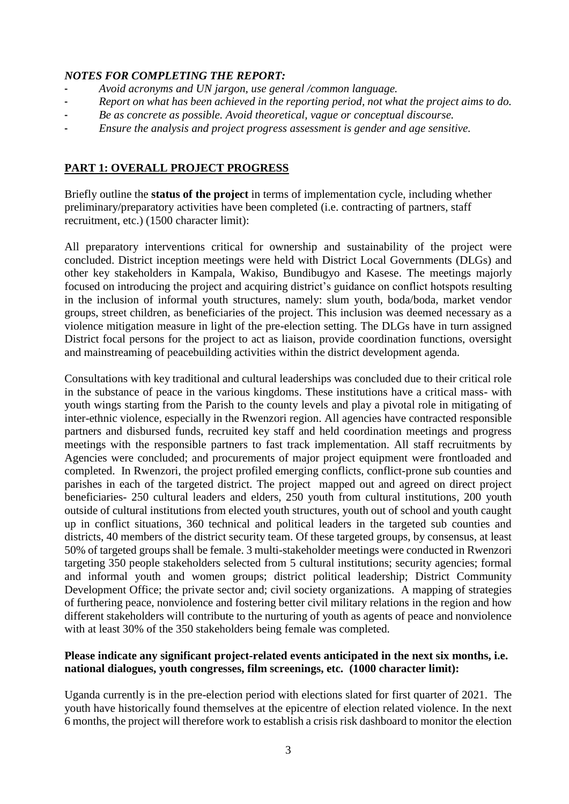## *NOTES FOR COMPLETING THE REPORT:*

- *Avoid acronyms and UN jargon, use general /common language.*
- *Report on what has been achieved in the reporting period, not what the project aims to do.*
- *Be as concrete as possible. Avoid theoretical, vague or conceptual discourse.*
- *Ensure the analysis and project progress assessment is gender and age sensitive.*

# **PART 1: OVERALL PROJECT PROGRESS**

Briefly outline the **status of the project** in terms of implementation cycle, including whether preliminary/preparatory activities have been completed (i.e. contracting of partners, staff recruitment, etc.) (1500 character limit):

All preparatory interventions critical for ownership and sustainability of the project were concluded. District inception meetings were held with District Local Governments (DLGs) and other key stakeholders in Kampala, Wakiso, Bundibugyo and Kasese. The meetings majorly focused on introducing the project and acquiring district's guidance on conflict hotspots resulting in the inclusion of informal youth structures, namely: slum youth, boda/boda, market vendor groups, street children, as beneficiaries of the project. This inclusion was deemed necessary as a violence mitigation measure in light of the pre-election setting. The DLGs have in turn assigned District focal persons for the project to act as liaison, provide coordination functions, oversight and mainstreaming of peacebuilding activities within the district development agenda.

Consultations with key traditional and cultural leaderships was concluded due to their critical role in the substance of peace in the various kingdoms. These institutions have a critical mass- with youth wings starting from the Parish to the county levels and play a pivotal role in mitigating of inter-ethnic violence, especially in the Rwenzori region. All agencies have contracted responsible partners and disbursed funds, recruited key staff and held coordination meetings and progress meetings with the responsible partners to fast track implementation. All staff recruitments by Agencies were concluded; and procurements of major project equipment were frontloaded and completed. In Rwenzori, the project profiled emerging conflicts, conflict-prone sub counties and parishes in each of the targeted district. The project mapped out and agreed on direct project beneficiaries- 250 cultural leaders and elders, 250 youth from cultural institutions, 200 youth outside of cultural institutions from elected youth structures, youth out of school and youth caught up in conflict situations, 360 technical and political leaders in the targeted sub counties and districts, 40 members of the district security team. Of these targeted groups, by consensus, at least 50% of targeted groups shall be female. 3 multi-stakeholder meetings were conducted in Rwenzori targeting 350 people stakeholders selected from 5 cultural institutions; security agencies; formal and informal youth and women groups; district political leadership; District Community Development Office; the private sector and; civil society organizations. A mapping of strategies of furthering peace, nonviolence and fostering better civil military relations in the region and how different stakeholders will contribute to the nurturing of youth as agents of peace and nonviolence with at least 30% of the 350 stakeholders being female was completed.

## **Please indicate any significant project-related events anticipated in the next six months, i.e. national dialogues, youth congresses, film screenings, etc. (1000 character limit):**

Uganda currently is in the pre-election period with elections slated for first quarter of 2021. The youth have historically found themselves at the epicentre of election related violence. In the next 6 months, the project will therefore work to establish a crisis risk dashboard to monitor the election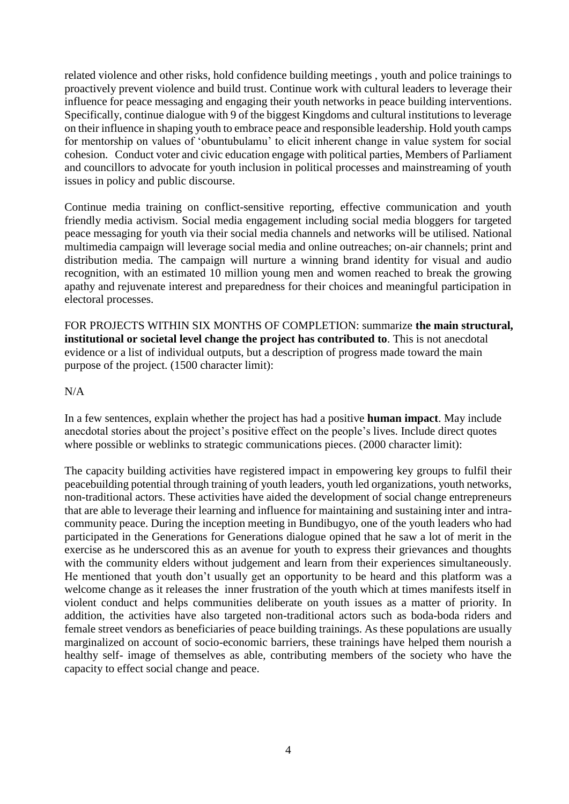related violence and other risks, hold confidence building meetings , youth and police trainings to proactively prevent violence and build trust. Continue work with cultural leaders to leverage their influence for peace messaging and engaging their youth networks in peace building interventions. Specifically, continue dialogue with 9 of the biggest Kingdoms and cultural institutions to leverage on their influence in shaping youth to embrace peace and responsible leadership. Hold youth camps for mentorship on values of 'obuntubulamu' to elicit inherent change in value system for social cohesion. Conduct voter and civic education engage with political parties, Members of Parliament and councillors to advocate for youth inclusion in political processes and mainstreaming of youth issues in policy and public discourse.

Continue media training on conflict-sensitive reporting, effective communication and youth friendly media activism. Social media engagement including social media bloggers for targeted peace messaging for youth via their social media channels and networks will be utilised. National multimedia campaign will leverage social media and online outreaches; on-air channels; print and distribution media. The campaign will nurture a winning brand identity for visual and audio recognition, with an estimated 10 million young men and women reached to break the growing apathy and rejuvenate interest and preparedness for their choices and meaningful participation in electoral processes.

FOR PROJECTS WITHIN SIX MONTHS OF COMPLETION: summarize **the main structural, institutional or societal level change the project has contributed to**. This is not anecdotal evidence or a list of individual outputs, but a description of progress made toward the main purpose of the project. (1500 character limit):

#### N/A

In a few sentences, explain whether the project has had a positive **human impact**. May include anecdotal stories about the project's positive effect on the people's lives. Include direct quotes where possible or weblinks to strategic communications pieces. (2000 character limit):

The capacity building activities have registered impact in empowering key groups to fulfil their peacebuilding potential through training of youth leaders, youth led organizations, youth networks, non-traditional actors. These activities have aided the development of social change entrepreneurs that are able to leverage their learning and influence for maintaining and sustaining inter and intracommunity peace. During the inception meeting in Bundibugyo, one of the youth leaders who had participated in the Generations for Generations dialogue opined that he saw a lot of merit in the exercise as he underscored this as an avenue for youth to express their grievances and thoughts with the community elders without judgement and learn from their experiences simultaneously. He mentioned that youth don't usually get an opportunity to be heard and this platform was a welcome change as it releases the inner frustration of the youth which at times manifests itself in violent conduct and helps communities deliberate on youth issues as a matter of priority. In addition, the activities have also targeted non-traditional actors such as boda-boda riders and female street vendors as beneficiaries of peace building trainings. As these populations are usually marginalized on account of socio-economic barriers, these trainings have helped them nourish a healthy self- image of themselves as able, contributing members of the society who have the capacity to effect social change and peace.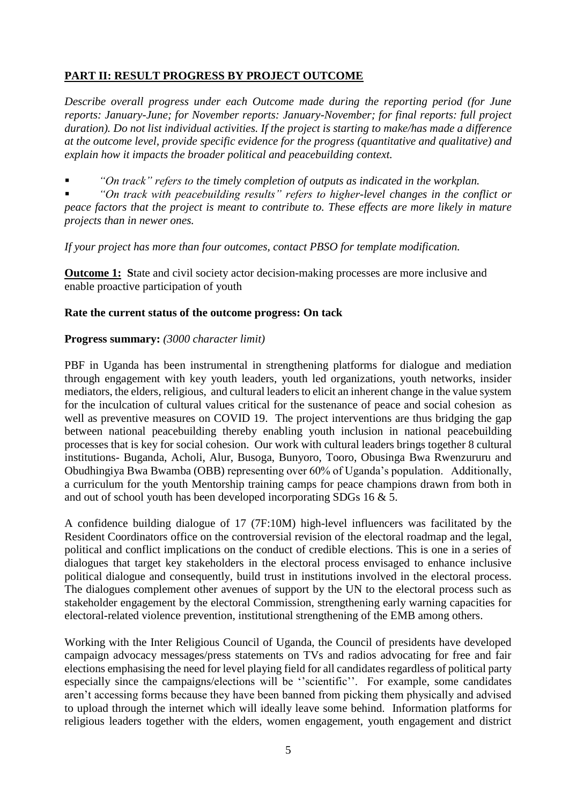# **PART II: RESULT PROGRESS BY PROJECT OUTCOME**

*Describe overall progress under each Outcome made during the reporting period (for June reports: January-June; for November reports: January-November; for final reports: full project duration). Do not list individual activities. If the project is starting to make/has made a difference at the outcome level, provide specific evidence for the progress (quantitative and qualitative) and explain how it impacts the broader political and peacebuilding context.* 

*"On track" refers to the timely completion of outputs as indicated in the workplan.* 

 *"On track with peacebuilding results" refers to higher-level changes in the conflict or peace factors that the project is meant to contribute to. These effects are more likely in mature projects than in newer ones.* 

*If your project has more than four outcomes, contact PBSO for template modification.*

**Outcome 1:** State and civil society actor decision-making processes are more inclusive and enable proactive participation of youth

#### **Rate the current status of the outcome progress: On tack**

#### **Progress summary:** *(3000 character limit)*

PBF in Uganda has been instrumental in strengthening platforms for dialogue and mediation through engagement with key youth leaders, youth led organizations, youth networks, insider mediators, the elders, religious, and cultural leaders to elicit an inherent change in the value system for the inculcation of cultural values critical for the sustenance of peace and social cohesion as well as preventive measures on COVID 19. The project interventions are thus bridging the gap between national peacebuilding thereby enabling youth inclusion in national peacebuilding processes that is key for social cohesion. Our work with cultural leaders brings together 8 cultural institutions- Buganda, Acholi, Alur, Busoga, Bunyoro, Tooro, Obusinga Bwa Rwenzururu and Obudhingiya Bwa Bwamba (OBB) representing over 60% of Uganda's population. Additionally, a curriculum for the youth Mentorship training camps for peace champions drawn from both in and out of school youth has been developed incorporating SDGs 16 & 5.

A confidence building dialogue of 17 (7F:10M) high-level influencers was facilitated by the Resident Coordinators office on the controversial revision of the electoral roadmap and the legal, political and conflict implications on the conduct of credible elections. This is one in a series of dialogues that target key stakeholders in the electoral process envisaged to enhance inclusive political dialogue and consequently, build trust in institutions involved in the electoral process. The dialogues complement other avenues of support by the UN to the electoral process such as stakeholder engagement by the electoral Commission, strengthening early warning capacities for electoral-related violence prevention, institutional strengthening of the EMB among others.

Working with the Inter Religious Council of Uganda, the Council of presidents have developed campaign advocacy messages/press statements on TVs and radios advocating for free and fair elections emphasising the need for level playing field for all candidates regardless of political party especially since the campaigns/elections will be ''scientific''. For example, some candidates aren't accessing forms because they have been banned from picking them physically and advised to upload through the internet which will ideally leave some behind. Information platforms for religious leaders together with the elders, women engagement, youth engagement and district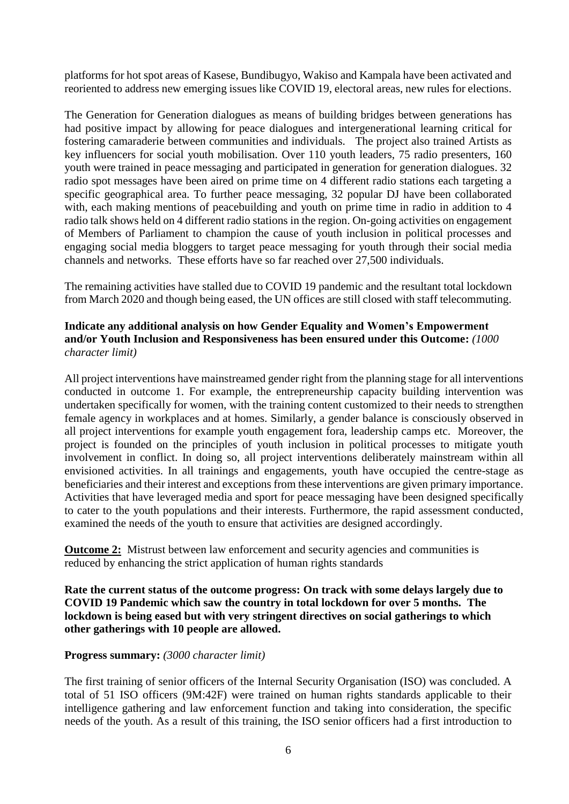platforms for hot spot areas of Kasese, Bundibugyo, Wakiso and Kampala have been activated and reoriented to address new emerging issues like COVID 19, electoral areas, new rules for elections.

The Generation for Generation dialogues as means of building bridges between generations has had positive impact by allowing for peace dialogues and intergenerational learning critical for fostering camaraderie between communities and individuals. The project also trained Artists as key influencers for social youth mobilisation. Over 110 youth leaders, 75 radio presenters, 160 youth were trained in peace messaging and participated in generation for generation dialogues. 32 radio spot messages have been aired on prime time on 4 different radio stations each targeting a specific geographical area. To further peace messaging, 32 popular DJ have been collaborated with, each making mentions of peacebuilding and youth on prime time in radio in addition to 4 radio talk shows held on 4 different radio stations in the region. On-going activities on engagement of Members of Parliament to champion the cause of youth inclusion in political processes and engaging social media bloggers to target peace messaging for youth through their social media channels and networks. These efforts have so far reached over 27,500 individuals.

The remaining activities have stalled due to COVID 19 pandemic and the resultant total lockdown from March 2020 and though being eased, the UN offices are still closed with staff telecommuting.

#### **Indicate any additional analysis on how Gender Equality and Women's Empowerment and/or Youth Inclusion and Responsiveness has been ensured under this Outcome:** *(1000 character limit)*

All project interventions have mainstreamed gender right from the planning stage for all interventions conducted in outcome 1. For example, the entrepreneurship capacity building intervention was undertaken specifically for women, with the training content customized to their needs to strengthen female agency in workplaces and at homes. Similarly, a gender balance is consciously observed in all project interventions for example youth engagement fora, leadership camps etc. Moreover, the project is founded on the principles of youth inclusion in political processes to mitigate youth involvement in conflict. In doing so, all project interventions deliberately mainstream within all envisioned activities. In all trainings and engagements, youth have occupied the centre-stage as beneficiaries and their interest and exceptions from these interventions are given primary importance. Activities that have leveraged media and sport for peace messaging have been designed specifically to cater to the youth populations and their interests. Furthermore, the rapid assessment conducted, examined the needs of the youth to ensure that activities are designed accordingly.

**Outcome 2:** Mistrust between law enforcement and security agencies and communities is reduced by enhancing the strict application of human rights standards

**Rate the current status of the outcome progress: On track with some delays largely due to COVID 19 Pandemic which saw the country in total lockdown for over 5 months. The lockdown is being eased but with very stringent directives on social gatherings to which other gatherings with 10 people are allowed.**

#### **Progress summary:** *(3000 character limit)*

The first training of senior officers of the Internal Security Organisation (ISO) was concluded. A total of 51 ISO officers (9M:42F) were trained on human rights standards applicable to their intelligence gathering and law enforcement function and taking into consideration, the specific needs of the youth. As a result of this training, the ISO senior officers had a first introduction to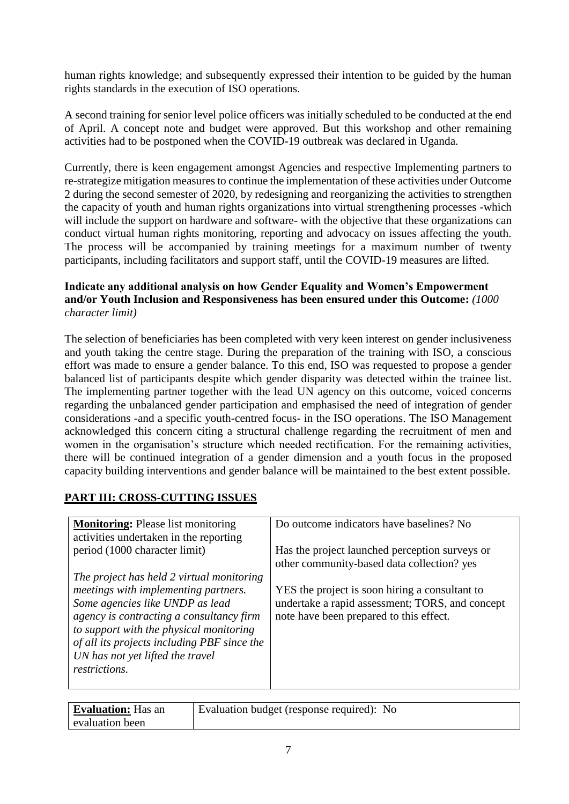human rights knowledge; and subsequently expressed their intention to be guided by the human rights standards in the execution of ISO operations.

A second training for senior level police officers was initially scheduled to be conducted at the end of April. A concept note and budget were approved. But this workshop and other remaining activities had to be postponed when the COVID-19 outbreak was declared in Uganda.

Currently, there is keen engagement amongst Agencies and respective Implementing partners to re-strategize mitigation measures to continue the implementation of these activities under Outcome 2 during the second semester of 2020, by redesigning and reorganizing the activities to strengthen the capacity of youth and human rights organizations into virtual strengthening processes -which will include the support on hardware and software- with the objective that these organizations can conduct virtual human rights monitoring, reporting and advocacy on issues affecting the youth. The process will be accompanied by training meetings for a maximum number of twenty participants, including facilitators and support staff, until the COVID-19 measures are lifted.

## **Indicate any additional analysis on how Gender Equality and Women's Empowerment and/or Youth Inclusion and Responsiveness has been ensured under this Outcome:** *(1000 character limit)*

The selection of beneficiaries has been completed with very keen interest on gender inclusiveness and youth taking the centre stage. During the preparation of the training with ISO, a conscious effort was made to ensure a gender balance. To this end, ISO was requested to propose a gender balanced list of participants despite which gender disparity was detected within the trainee list. The implementing partner together with the lead UN agency on this outcome, voiced concerns regarding the unbalanced gender participation and emphasised the need of integration of gender considerations -and a specific youth-centred focus- in the ISO operations. The ISO Management acknowledged this concern citing a structural challenge regarding the recruitment of men and women in the organisation's structure which needed rectification. For the remaining activities, there will be continued integration of a gender dimension and a youth focus in the proposed capacity building interventions and gender balance will be maintained to the best extent possible.

# **PART III: CROSS-CUTTING ISSUES**

| <b>Monitoring:</b> Please list monitoring<br>activities undertaken in the reporting                                                                                                                                                                                | Do outcome indicators have baselines? No                                                                                                     |
|--------------------------------------------------------------------------------------------------------------------------------------------------------------------------------------------------------------------------------------------------------------------|----------------------------------------------------------------------------------------------------------------------------------------------|
| period (1000 character limit)                                                                                                                                                                                                                                      | Has the project launched perception surveys or<br>other community-based data collection? yes                                                 |
| The project has held 2 virtual monitoring                                                                                                                                                                                                                          |                                                                                                                                              |
| meetings with implementing partners.<br>Some agencies like UNDP as lead<br>agency is contracting a consultancy firm<br>to support with the physical monitoring<br>of all its projects including PBF since the<br>UN has not yet lifted the travel<br>restrictions. | YES the project is soon hiring a consultant to<br>undertake a rapid assessment; TORS, and concept<br>note have been prepared to this effect. |

| <b>Evaluation:</b> Has an | Evaluation budget (response required): No |
|---------------------------|-------------------------------------------|
| evaluation been           |                                           |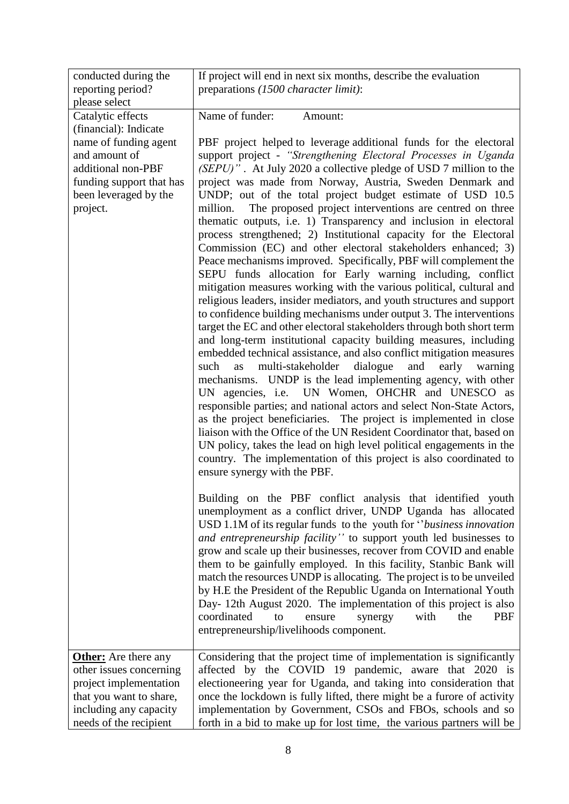| conducted during the                                                                                                                                                        | If project will end in next six months, describe the evaluation                                                                                                                                                                                                                                                                                                                                                                                                                                                                                                                                                                                                                                                                                                                                                                                                                                                                                                                                                                                                                                                                                                                                                                                                                                                                                                                                                                                                                                                                                                                                                                                                                                                                                                                                                                       |
|-----------------------------------------------------------------------------------------------------------------------------------------------------------------------------|---------------------------------------------------------------------------------------------------------------------------------------------------------------------------------------------------------------------------------------------------------------------------------------------------------------------------------------------------------------------------------------------------------------------------------------------------------------------------------------------------------------------------------------------------------------------------------------------------------------------------------------------------------------------------------------------------------------------------------------------------------------------------------------------------------------------------------------------------------------------------------------------------------------------------------------------------------------------------------------------------------------------------------------------------------------------------------------------------------------------------------------------------------------------------------------------------------------------------------------------------------------------------------------------------------------------------------------------------------------------------------------------------------------------------------------------------------------------------------------------------------------------------------------------------------------------------------------------------------------------------------------------------------------------------------------------------------------------------------------------------------------------------------------------------------------------------------------|
| reporting period?<br>please select                                                                                                                                          | preparations (1500 character limit):                                                                                                                                                                                                                                                                                                                                                                                                                                                                                                                                                                                                                                                                                                                                                                                                                                                                                                                                                                                                                                                                                                                                                                                                                                                                                                                                                                                                                                                                                                                                                                                                                                                                                                                                                                                                  |
| Catalytic effects<br>(financial): Indicate<br>name of funding agent<br>and amount of<br>additional non-PBF<br>funding support that has<br>been leveraged by the<br>project. | Name of funder:<br>Amount:<br>PBF project helped to leverage additional funds for the electoral<br>support project - "Strengthening Electoral Processes in Uganda<br>(SEPU)". At July 2020 a collective pledge of USD 7 million to the<br>project was made from Norway, Austria, Sweden Denmark and<br>UNDP; out of the total project budget estimate of USD 10.5<br>The proposed project interventions are centred on three<br>million.<br>thematic outputs, i.e. 1) Transparency and inclusion in electoral<br>process strengthened; 2) Institutional capacity for the Electoral<br>Commission (EC) and other electoral stakeholders enhanced; 3)<br>Peace mechanisms improved. Specifically, PBF will complement the<br>SEPU funds allocation for Early warning including, conflict<br>mitigation measures working with the various political, cultural and<br>religious leaders, insider mediators, and youth structures and support<br>to confidence building mechanisms under output 3. The interventions<br>target the EC and other electoral stakeholders through both short term<br>and long-term institutional capacity building measures, including<br>embedded technical assistance, and also conflict mitigation measures<br>multi-stakeholder dialogue<br>and<br>such<br>early<br>as<br>warning<br>mechanisms. UNDP is the lead implementing agency, with other<br>UN agencies, i.e. UN Women, OHCHR and UNESCO as<br>responsible parties; and national actors and select Non-State Actors,<br>as the project beneficiaries. The project is implemented in close<br>liaison with the Office of the UN Resident Coordinator that, based on<br>UN policy, takes the lead on high level political engagements in the<br>country. The implementation of this project is also coordinated to<br>ensure synergy with the PBF. |
|                                                                                                                                                                             | Building on the PBF conflict analysis that identified youth<br>unemployment as a conflict driver, UNDP Uganda has allocated<br>USD 1.1M of its regular funds to the youth for "business innovation"<br>and entrepreneurship facility" to support youth led businesses to<br>grow and scale up their businesses, recover from COVID and enable<br>them to be gainfully employed. In this facility, Stanbic Bank will<br>match the resources UNDP is allocating. The project is to be unveiled<br>by H.E the President of the Republic Uganda on International Youth<br>Day-12th August 2020. The implementation of this project is also<br>coordinated<br>with<br>the<br>to<br>ensure<br>synergy<br><b>PBF</b><br>entrepreneurship/livelihoods component.                                                                                                                                                                                                                                                                                                                                                                                                                                                                                                                                                                                                                                                                                                                                                                                                                                                                                                                                                                                                                                                                              |
| <b>Other:</b> Are there any<br>other issues concerning<br>project implementation<br>that you want to share,<br>including any capacity<br>needs of the recipient             | Considering that the project time of implementation is significantly<br>affected by the COVID 19 pandemic, aware that 2020 is<br>electioneering year for Uganda, and taking into consideration that<br>once the lockdown is fully lifted, there might be a furore of activity<br>implementation by Government, CSOs and FBOs, schools and so<br>forth in a bid to make up for lost time, the various partners will be                                                                                                                                                                                                                                                                                                                                                                                                                                                                                                                                                                                                                                                                                                                                                                                                                                                                                                                                                                                                                                                                                                                                                                                                                                                                                                                                                                                                                 |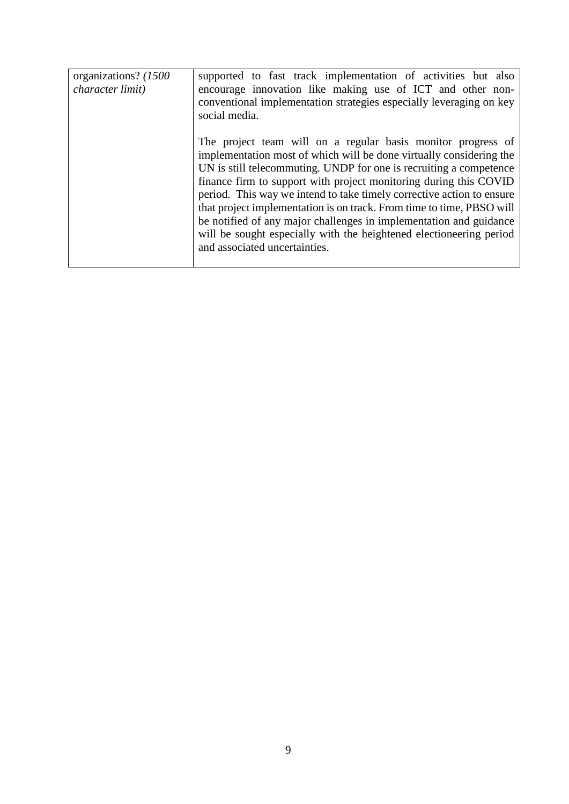| organizations? (1500)<br><i>character limit</i> ) | supported to fast track implementation of activities but also<br>encourage innovation like making use of ICT and other non-<br>conventional implementation strategies especially leveraging on key<br>social media.                                                                                                                                                                                                                                                                                                                                                                                            |
|---------------------------------------------------|----------------------------------------------------------------------------------------------------------------------------------------------------------------------------------------------------------------------------------------------------------------------------------------------------------------------------------------------------------------------------------------------------------------------------------------------------------------------------------------------------------------------------------------------------------------------------------------------------------------|
|                                                   | The project team will on a regular basis monitor progress of<br>implementation most of which will be done virtually considering the<br>UN is still telecommuting. UNDP for one is recruiting a competence<br>finance firm to support with project monitoring during this COVID<br>period. This way we intend to take timely corrective action to ensure<br>that project implementation is on track. From time to time, PBSO will<br>be notified of any major challenges in implementation and guidance<br>will be sought especially with the heightened electioneering period<br>and associated uncertainties. |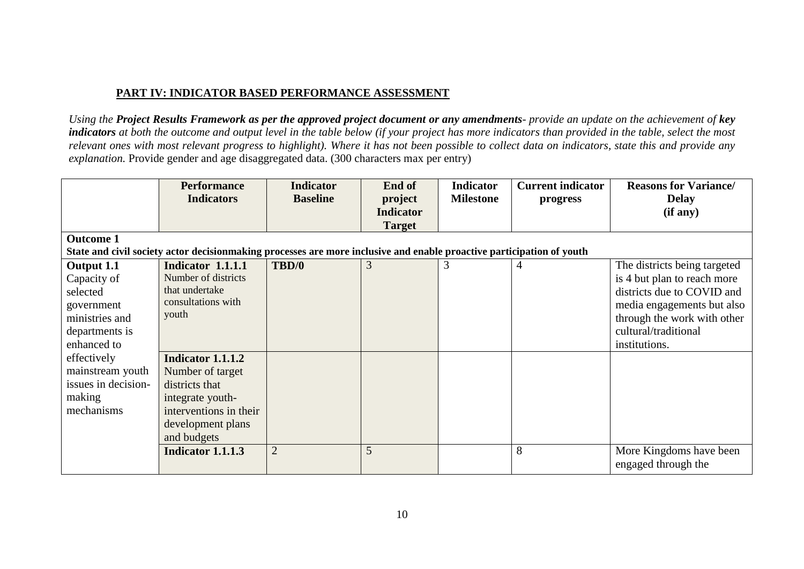## **PART IV: INDICATOR BASED PERFORMANCE ASSESSMENT**

*Using the Project Results Framework as per the approved project document or any amendments- provide an update on the achievement of key indicators at both the outcome and output level in the table below (if your project has more indicators than provided in the table, select the most relevant ones with most relevant progress to highlight). Where it has not been possible to collect data on indicators, state this and provide any explanation.* Provide gender and age disaggregated data. (300 characters max per entry)

|                     | <b>Performance</b><br><b>Indicators</b>                                                                               | <b>Indicator</b><br><b>Baseline</b> | End of<br>project<br><b>Indicator</b><br><b>Target</b> | <b>Indicator</b><br><b>Milestone</b> | <b>Current indicator</b><br>progress | <b>Reasons for Variance/</b><br><b>Delay</b><br>(if any) |
|---------------------|-----------------------------------------------------------------------------------------------------------------------|-------------------------------------|--------------------------------------------------------|--------------------------------------|--------------------------------------|----------------------------------------------------------|
| <b>Outcome 1</b>    |                                                                                                                       |                                     |                                                        |                                      |                                      |                                                          |
|                     | State and civil society actor decisionmaking processes are more inclusive and enable proactive participation of youth |                                     |                                                        |                                      |                                      |                                                          |
| Output 1.1          | Indicator 1.1.1.1                                                                                                     | TBD/0                               | 3                                                      | 3                                    |                                      | The districts being targeted                             |
| Capacity of         | Number of districts                                                                                                   |                                     |                                                        |                                      |                                      | is 4 but plan to reach more                              |
| selected            | that undertake                                                                                                        |                                     |                                                        |                                      |                                      | districts due to COVID and                               |
| government          | consultations with                                                                                                    |                                     |                                                        |                                      |                                      | media engagements but also                               |
| ministries and      | youth                                                                                                                 |                                     |                                                        |                                      |                                      | through the work with other                              |
| departments is      |                                                                                                                       |                                     |                                                        |                                      |                                      | cultural/traditional                                     |
| enhanced to         |                                                                                                                       |                                     |                                                        |                                      |                                      | institutions.                                            |
| effectively         | Indicator 1.1.1.2                                                                                                     |                                     |                                                        |                                      |                                      |                                                          |
| mainstream youth    | Number of target                                                                                                      |                                     |                                                        |                                      |                                      |                                                          |
| issues in decision- | districts that                                                                                                        |                                     |                                                        |                                      |                                      |                                                          |
| making              | integrate youth-                                                                                                      |                                     |                                                        |                                      |                                      |                                                          |
| mechanisms          | interventions in their                                                                                                |                                     |                                                        |                                      |                                      |                                                          |
|                     | development plans                                                                                                     |                                     |                                                        |                                      |                                      |                                                          |
|                     | and budgets                                                                                                           |                                     |                                                        |                                      |                                      |                                                          |
|                     | Indicator 1.1.1.3                                                                                                     | $\overline{2}$                      | 5                                                      |                                      | 8                                    | More Kingdoms have been                                  |
|                     |                                                                                                                       |                                     |                                                        |                                      |                                      | engaged through the                                      |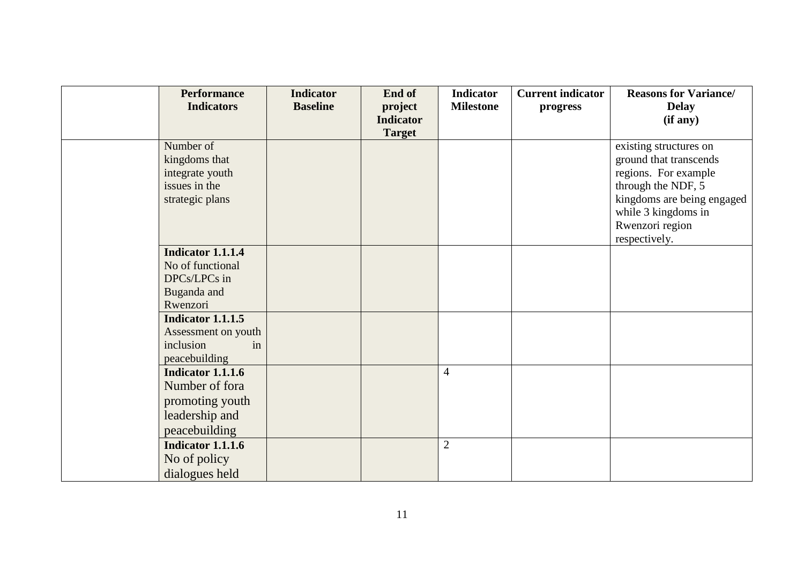| <b>Performance</b>       | <b>Indicator</b> | End of           | <b>Indicator</b> | <b>Current indicator</b> | <b>Reasons for Variance/</b>           |
|--------------------------|------------------|------------------|------------------|--------------------------|----------------------------------------|
| <b>Indicators</b>        | <b>Baseline</b>  | project          | <b>Milestone</b> | progress                 | <b>Delay</b>                           |
|                          |                  | <b>Indicator</b> |                  |                          | (if any)                               |
|                          |                  | <b>Target</b>    |                  |                          |                                        |
| Number of                |                  |                  |                  |                          | existing structures on                 |
| kingdoms that            |                  |                  |                  |                          | ground that transcends                 |
| integrate youth          |                  |                  |                  |                          | regions. For example                   |
| issues in the            |                  |                  |                  |                          | through the NDF, 5                     |
| strategic plans          |                  |                  |                  |                          | kingdoms are being engaged             |
|                          |                  |                  |                  |                          | while 3 kingdoms in<br>Rwenzori region |
|                          |                  |                  |                  |                          | respectively.                          |
| Indicator 1.1.1.4        |                  |                  |                  |                          |                                        |
| No of functional         |                  |                  |                  |                          |                                        |
| DPCs/LPCs in             |                  |                  |                  |                          |                                        |
| Buganda and              |                  |                  |                  |                          |                                        |
| Rwenzori                 |                  |                  |                  |                          |                                        |
| <b>Indicator 1.1.1.5</b> |                  |                  |                  |                          |                                        |
| Assessment on youth      |                  |                  |                  |                          |                                        |
| inclusion<br>in          |                  |                  |                  |                          |                                        |
| peacebuilding            |                  |                  |                  |                          |                                        |
| <b>Indicator 1.1.1.6</b> |                  |                  | $\overline{4}$   |                          |                                        |
| Number of fora           |                  |                  |                  |                          |                                        |
| promoting youth          |                  |                  |                  |                          |                                        |
| leadership and           |                  |                  |                  |                          |                                        |
| peacebuilding            |                  |                  |                  |                          |                                        |
| <b>Indicator 1.1.1.6</b> |                  |                  | $\overline{2}$   |                          |                                        |
| No of policy             |                  |                  |                  |                          |                                        |
| dialogues held           |                  |                  |                  |                          |                                        |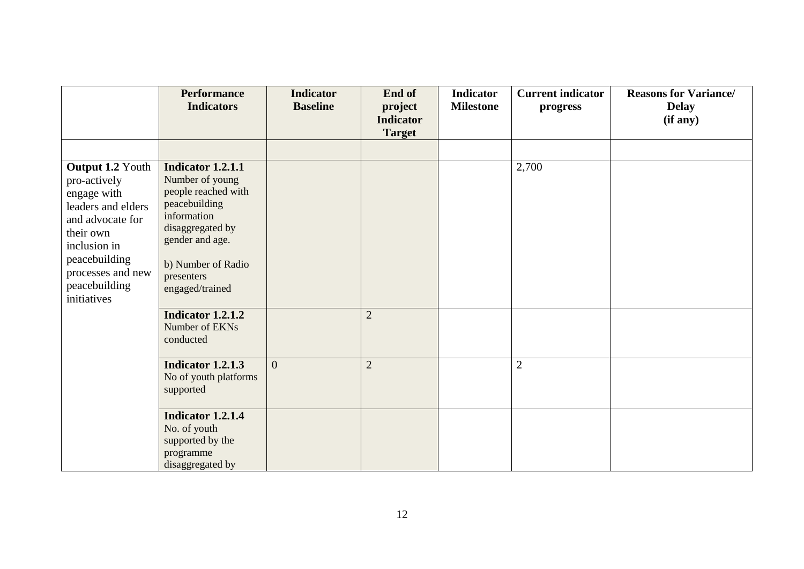|                                                                                                                                                                                              | <b>Performance</b><br><b>Indicators</b>                                                                                                                                                   | <b>Indicator</b><br><b>Baseline</b> | End of<br>project<br><b>Indicator</b> | <b>Indicator</b><br><b>Milestone</b> | <b>Current indicator</b><br>progress | <b>Reasons for Variance/</b><br><b>Delay</b><br>(if any) |
|----------------------------------------------------------------------------------------------------------------------------------------------------------------------------------------------|-------------------------------------------------------------------------------------------------------------------------------------------------------------------------------------------|-------------------------------------|---------------------------------------|--------------------------------------|--------------------------------------|----------------------------------------------------------|
|                                                                                                                                                                                              |                                                                                                                                                                                           |                                     | <b>Target</b>                         |                                      |                                      |                                                          |
|                                                                                                                                                                                              |                                                                                                                                                                                           |                                     |                                       |                                      |                                      |                                                          |
| Output 1.2 Youth<br>pro-actively<br>engage with<br>leaders and elders<br>and advocate for<br>their own<br>inclusion in<br>peacebuilding<br>processes and new<br>peacebuilding<br>initiatives | Indicator 1.2.1.1<br>Number of young<br>people reached with<br>peacebuilding<br>information<br>disaggregated by<br>gender and age.<br>b) Number of Radio<br>presenters<br>engaged/trained |                                     |                                       |                                      | 2,700                                |                                                          |
|                                                                                                                                                                                              | Indicator 1.2.1.2<br>Number of EKNs<br>conducted                                                                                                                                          |                                     | $\overline{2}$                        |                                      |                                      |                                                          |
|                                                                                                                                                                                              | Indicator 1.2.1.3<br>No of youth platforms<br>supported                                                                                                                                   | $\overline{0}$                      | $\overline{2}$                        |                                      | $\overline{2}$                       |                                                          |
|                                                                                                                                                                                              | Indicator 1.2.1.4<br>No. of youth<br>supported by the<br>programme<br>disaggregated by                                                                                                    |                                     |                                       |                                      |                                      |                                                          |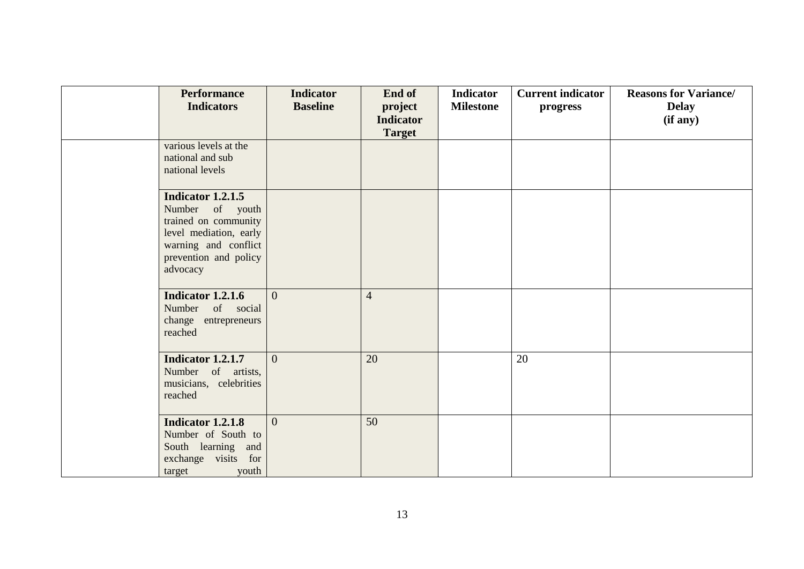| <b>Performance</b><br><b>Indicators</b>                                                                                                                    | <b>Indicator</b><br><b>Baseline</b> | End of<br>project<br><b>Indicator</b> | <b>Indicator</b><br><b>Milestone</b> | <b>Current indicator</b><br>progress | <b>Reasons for Variance/</b><br><b>Delay</b><br>(if any) |
|------------------------------------------------------------------------------------------------------------------------------------------------------------|-------------------------------------|---------------------------------------|--------------------------------------|--------------------------------------|----------------------------------------------------------|
|                                                                                                                                                            |                                     | <b>Target</b>                         |                                      |                                      |                                                          |
| various levels at the<br>national and sub<br>national levels                                                                                               |                                     |                                       |                                      |                                      |                                                          |
| <b>Indicator 1.2.1.5</b><br>Number of youth<br>trained on community<br>level mediation, early<br>warning and conflict<br>prevention and policy<br>advocacy |                                     |                                       |                                      |                                      |                                                          |
| <b>Indicator 1.2.1.6</b><br>Number of social<br>change entrepreneurs<br>reached                                                                            | $\overline{0}$                      | $\overline{4}$                        |                                      |                                      |                                                          |
| Indicator 1.2.1.7<br>Number of artists,<br>musicians, celebrities<br>reached                                                                               | $\overline{0}$                      | 20                                    |                                      | 20                                   |                                                          |
| <b>Indicator 1.2.1.8</b><br>Number of South to<br>South learning and<br>exchange visits for<br>target<br>youth                                             | $\Omega$                            | 50                                    |                                      |                                      |                                                          |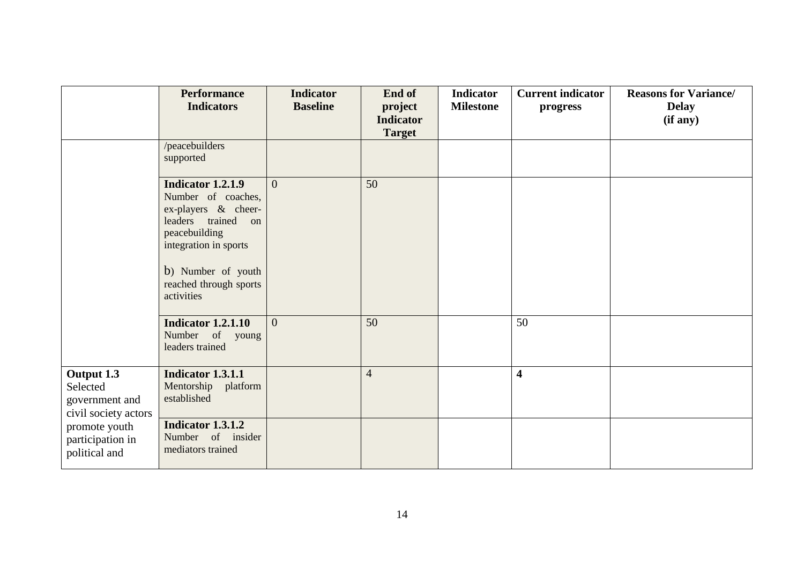|                                                                  | <b>Performance</b><br><b>Indicators</b>                                                                                                                                                      | <b>Indicator</b><br><b>Baseline</b> | End of<br>project<br><b>Indicator</b><br><b>Target</b> | <b>Indicator</b><br><b>Milestone</b> | <b>Current indicator</b><br>progress | <b>Reasons for Variance/</b><br><b>Delay</b><br>(if any) |
|------------------------------------------------------------------|----------------------------------------------------------------------------------------------------------------------------------------------------------------------------------------------|-------------------------------------|--------------------------------------------------------|--------------------------------------|--------------------------------------|----------------------------------------------------------|
|                                                                  | /peacebuilders<br>supported                                                                                                                                                                  |                                     |                                                        |                                      |                                      |                                                          |
|                                                                  | Indicator 1.2.1.9<br>Number of coaches,<br>ex-players & cheer-<br>leaders trained on<br>peacebuilding<br>integration in sports<br>b) Number of youth<br>reached through sports<br>activities | $\overline{0}$                      | 50                                                     |                                      |                                      |                                                          |
|                                                                  | <b>Indicator 1.2.1.10</b><br>Number of young<br>leaders trained                                                                                                                              | $\overline{0}$                      | 50                                                     |                                      | 50                                   |                                                          |
| Output 1.3<br>Selected<br>government and<br>civil society actors | Indicator 1.3.1.1<br>Mentorship platform<br>established                                                                                                                                      |                                     | $\overline{4}$                                         |                                      | $\overline{\mathbf{4}}$              |                                                          |
| promote youth<br>participation in<br>political and               | Indicator 1.3.1.2<br>Number of insider<br>mediators trained                                                                                                                                  |                                     |                                                        |                                      |                                      |                                                          |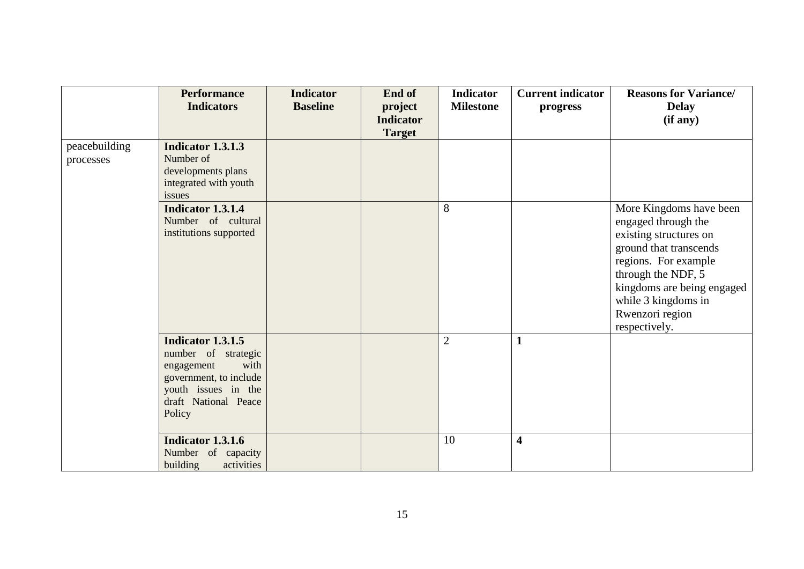|                            | <b>Performance</b>                                                                                                                                       | <b>Indicator</b> | End of           | <b>Indicator</b> | <b>Current indicator</b> | <b>Reasons for Variance/</b>                                                                                                                                                                                                              |
|----------------------------|----------------------------------------------------------------------------------------------------------------------------------------------------------|------------------|------------------|------------------|--------------------------|-------------------------------------------------------------------------------------------------------------------------------------------------------------------------------------------------------------------------------------------|
|                            | <b>Indicators</b>                                                                                                                                        | <b>Baseline</b>  | project          | <b>Milestone</b> | progress                 | <b>Delay</b>                                                                                                                                                                                                                              |
|                            |                                                                                                                                                          |                  | <b>Indicator</b> |                  |                          | (if any)                                                                                                                                                                                                                                  |
|                            |                                                                                                                                                          |                  | <b>Target</b>    |                  |                          |                                                                                                                                                                                                                                           |
| peacebuilding<br>processes | <b>Indicator 1.3.1.3</b><br>Number of<br>developments plans<br>integrated with youth<br>issues                                                           |                  |                  |                  |                          |                                                                                                                                                                                                                                           |
|                            | Indicator 1.3.1.4<br>Number of cultural<br>institutions supported                                                                                        |                  |                  | 8                |                          | More Kingdoms have been<br>engaged through the<br>existing structures on<br>ground that transcends<br>regions. For example<br>through the NDF, 5<br>kingdoms are being engaged<br>while 3 kingdoms in<br>Rwenzori region<br>respectively. |
|                            | <b>Indicator 1.3.1.5</b><br>number of strategic<br>with<br>engagement<br>government, to include<br>youth issues in the<br>draft National Peace<br>Policy |                  |                  | $\overline{2}$   | $\mathbf{1}$             |                                                                                                                                                                                                                                           |
|                            | <b>Indicator 1.3.1.6</b><br>Number of capacity<br>building<br>activities                                                                                 |                  |                  | 10               | $\overline{\mathbf{4}}$  |                                                                                                                                                                                                                                           |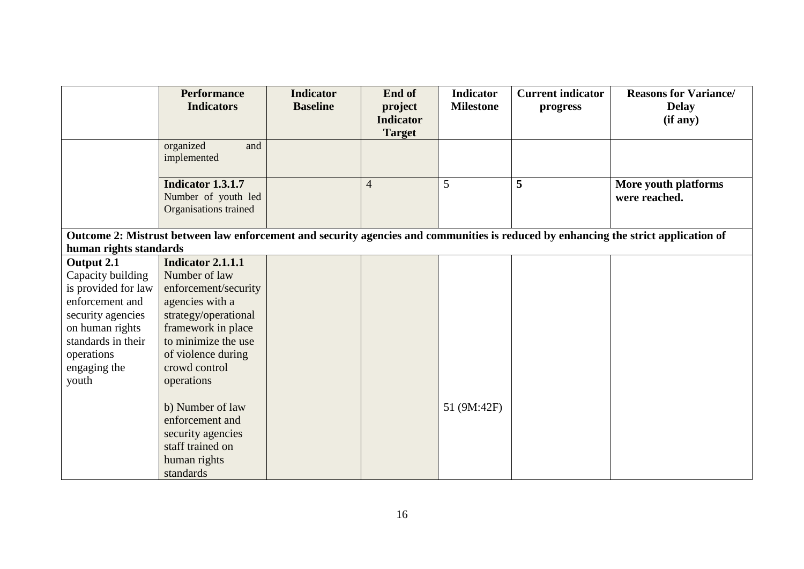|                                                                                                                                     | <b>Performance</b><br><b>Indicators</b><br>organized<br>and                                               | <b>Indicator</b><br><b>Baseline</b> | End of<br>project<br><b>Indicator</b><br><b>Target</b> | <b>Indicator</b><br><b>Milestone</b> | <b>Current indicator</b><br>progress | <b>Reasons for Variance/</b><br><b>Delay</b><br>(if any) |  |  |
|-------------------------------------------------------------------------------------------------------------------------------------|-----------------------------------------------------------------------------------------------------------|-------------------------------------|--------------------------------------------------------|--------------------------------------|--------------------------------------|----------------------------------------------------------|--|--|
|                                                                                                                                     | implemented                                                                                               |                                     |                                                        |                                      |                                      |                                                          |  |  |
|                                                                                                                                     | <b>Indicator 1.3.1.7</b><br>Number of youth led<br>Organisations trained                                  |                                     | $\overline{4}$                                         | $5\overline{)}$                      | 5                                    | More youth platforms<br>were reached.                    |  |  |
| Outcome 2: Mistrust between law enforcement and security agencies and communities is reduced by enhancing the strict application of |                                                                                                           |                                     |                                                        |                                      |                                      |                                                          |  |  |
| human rights standards                                                                                                              |                                                                                                           |                                     |                                                        |                                      |                                      |                                                          |  |  |
| Output 2.1                                                                                                                          | Indicator 2.1.1.1                                                                                         |                                     |                                                        |                                      |                                      |                                                          |  |  |
| Capacity building                                                                                                                   | Number of law                                                                                             |                                     |                                                        |                                      |                                      |                                                          |  |  |
| is provided for law                                                                                                                 | enforcement/security                                                                                      |                                     |                                                        |                                      |                                      |                                                          |  |  |
| enforcement and                                                                                                                     | agencies with a                                                                                           |                                     |                                                        |                                      |                                      |                                                          |  |  |
| security agencies                                                                                                                   | strategy/operational                                                                                      |                                     |                                                        |                                      |                                      |                                                          |  |  |
| on human rights                                                                                                                     | framework in place                                                                                        |                                     |                                                        |                                      |                                      |                                                          |  |  |
| standards in their                                                                                                                  | to minimize the use                                                                                       |                                     |                                                        |                                      |                                      |                                                          |  |  |
| operations                                                                                                                          | of violence during                                                                                        |                                     |                                                        |                                      |                                      |                                                          |  |  |
| engaging the                                                                                                                        | crowd control                                                                                             |                                     |                                                        |                                      |                                      |                                                          |  |  |
| youth                                                                                                                               | operations                                                                                                |                                     |                                                        |                                      |                                      |                                                          |  |  |
|                                                                                                                                     | b) Number of law<br>enforcement and<br>security agencies<br>staff trained on<br>human rights<br>standards |                                     |                                                        | 51 (9M:42F)                          |                                      |                                                          |  |  |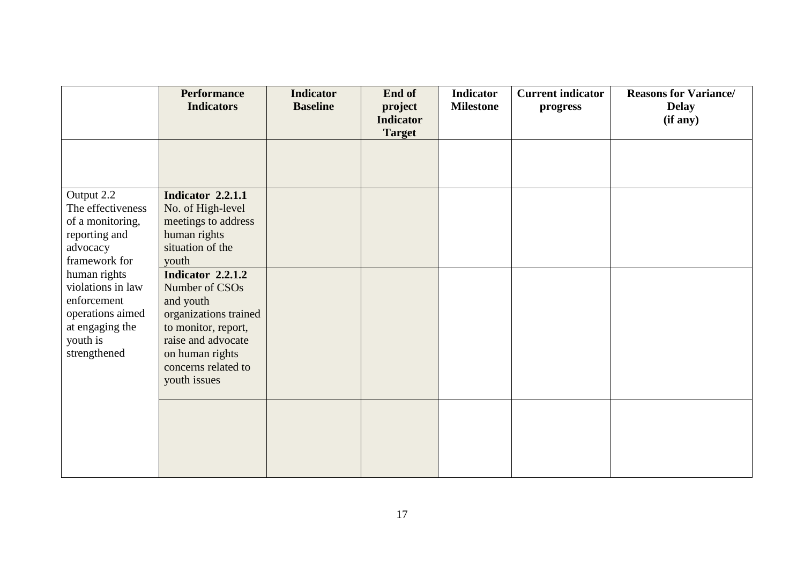|                   | <b>Performance</b><br><b>Indicators</b> | <b>Indicator</b><br><b>Baseline</b> | End of<br>project<br><b>Indicator</b> | <b>Indicator</b><br><b>Milestone</b> | <b>Current indicator</b><br>progress | <b>Reasons for Variance/</b><br><b>Delay</b><br>(if any) |
|-------------------|-----------------------------------------|-------------------------------------|---------------------------------------|--------------------------------------|--------------------------------------|----------------------------------------------------------|
|                   |                                         |                                     | <b>Target</b>                         |                                      |                                      |                                                          |
|                   |                                         |                                     |                                       |                                      |                                      |                                                          |
|                   |                                         |                                     |                                       |                                      |                                      |                                                          |
| Output 2.2        | Indicator 2.2.1.1                       |                                     |                                       |                                      |                                      |                                                          |
| The effectiveness | No. of High-level                       |                                     |                                       |                                      |                                      |                                                          |
| of a monitoring,  | meetings to address                     |                                     |                                       |                                      |                                      |                                                          |
| reporting and     | human rights                            |                                     |                                       |                                      |                                      |                                                          |
| advocacy          | situation of the                        |                                     |                                       |                                      |                                      |                                                          |
| framework for     | youth                                   |                                     |                                       |                                      |                                      |                                                          |
| human rights      | <b>Indicator 2.2.1.2</b>                |                                     |                                       |                                      |                                      |                                                          |
| violations in law | Number of CSOs                          |                                     |                                       |                                      |                                      |                                                          |
| enforcement       | and youth                               |                                     |                                       |                                      |                                      |                                                          |
| operations aimed  | organizations trained                   |                                     |                                       |                                      |                                      |                                                          |
| at engaging the   | to monitor, report,                     |                                     |                                       |                                      |                                      |                                                          |
| youth is          | raise and advocate                      |                                     |                                       |                                      |                                      |                                                          |
| strengthened      | on human rights                         |                                     |                                       |                                      |                                      |                                                          |
|                   | concerns related to                     |                                     |                                       |                                      |                                      |                                                          |
|                   | youth issues                            |                                     |                                       |                                      |                                      |                                                          |
|                   |                                         |                                     |                                       |                                      |                                      |                                                          |
|                   |                                         |                                     |                                       |                                      |                                      |                                                          |
|                   |                                         |                                     |                                       |                                      |                                      |                                                          |
|                   |                                         |                                     |                                       |                                      |                                      |                                                          |
|                   |                                         |                                     |                                       |                                      |                                      |                                                          |
|                   |                                         |                                     |                                       |                                      |                                      |                                                          |